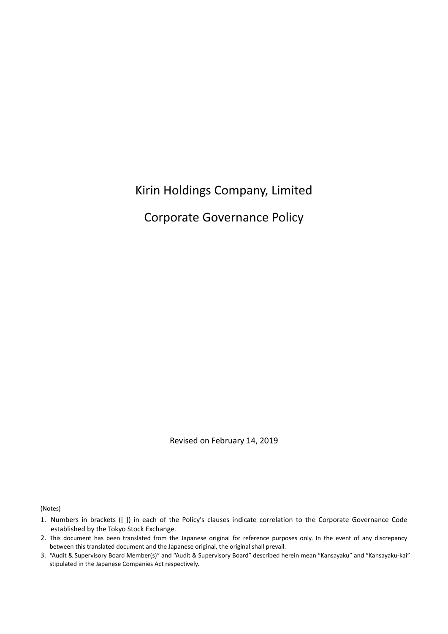# Kirin Holdings Company, Limited

Corporate Governance Policy

Revised on February 14, 2019

(Notes)

<sup>1.</sup> Numbers in brackets ([ ]) in each of the Policy's clauses indicate correlation to the Corporate Governance Code established by the Tokyo Stock Exchange.

<sup>2.</sup> This document has been translated from the Japanese original for reference purposes only. In the event of any discrepancy between this translated document and the Japanese original, the original shall prevail.

<sup>3.</sup> "Audit & Supervisory Board Member(s)" and "Audit & Supervisory Board" described herein mean "Kansayaku" and "Kansayaku-kai" stipulated in the Japanese Companies Act respectively.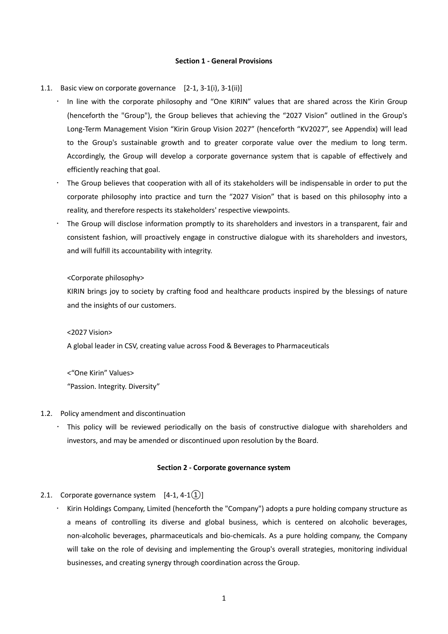### **Section 1 - General Provisions**

#### 1.1. Basic view on corporate governance [2-1, 3-1(i), 3-1(ii)]

- . In line with the corporate philosophy and "One KIRIN" values that are shared across the Kirin Group (henceforth the "Group"), the Group believes that achieving the "2027 Vision" outlined in the Group's Long-Term Management Vision "Kirin Group Vision 2027" (henceforth "KV2027", see Appendix) will lead to the Group's sustainable growth and to greater corporate value over the medium to long term. Accordingly, the Group will develop a corporate governance system that is capable of effectively and efficiently reaching that goal.
- The Group believes that cooperation with all of its stakeholders will be indispensable in order to put the corporate philosophy into practice and turn the "2027 Vision" that is based on this philosophy into a reality, and therefore respects its stakeholders' respective viewpoints.
- The Group will disclose information promptly to its shareholders and investors in a transparent, fair and consistent fashion, will proactively engage in constructive dialogue with its shareholders and investors, and will fulfill its accountability with integrity.

### <Corporate philosophy>

KIRIN brings joy to society by crafting food and healthcare products inspired by the blessings of nature and the insights of our customers.

<2027 Vision>

A global leader in CSV, creating value across Food & Beverages to Pharmaceuticals

<"One Kirin" Values> "Passion. Integrity. Diversity"

#### 1.2. Policy amendment and discontinuation

 This policy will be reviewed periodically on the basis of constructive dialogue with shareholders and investors, and may be amended or discontinued upon resolution by the Board.

### **Section 2 - Corporate governance system**

### 2.1. Corporate governance system  $[4-1, 4-1(1)]$

 Kirin Holdings Company, Limited (henceforth the "Company") adopts a pure holding company structure as a means of controlling its diverse and global business, which is centered on alcoholic beverages, non-alcoholic beverages, pharmaceuticals and bio-chemicals. As a pure holding company, the Company will take on the role of devising and implementing the Group's overall strategies, monitoring individual businesses, and creating synergy through coordination across the Group.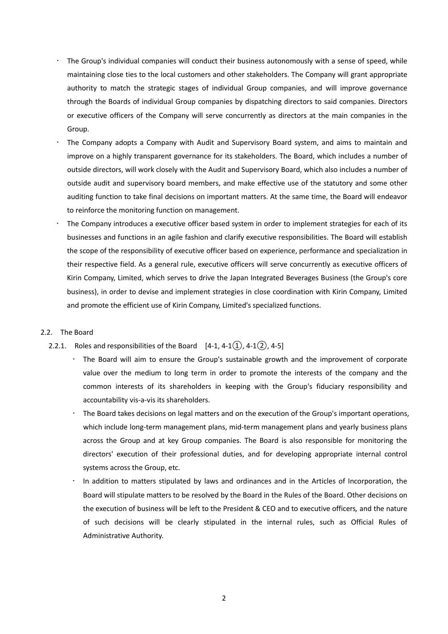- The Group's individual companies will conduct their business autonomously with a sense of speed, while maintaining close ties to the local customers and other stakeholders. The Company will grant appropriate authority to match the strategic stages of individual Group companies, and will improve governance through the Boards of individual Group companies by dispatching directors to said companies. Directors or executive officers of the Company will serve concurrently as directors at the main companies in the Group.
- The Company adopts a Company with Audit and Supervisory Board system, and aims to maintain and improve on a highly transparent governance for its stakeholders. The Board, which includes a number of outside directors, will work closely with the Audit and Supervisory Board, which also includes a number of outside audit and supervisory board members, and make effective use of the statutory and some other auditing function to take final decisions on important matters. At the same time, the Board will endeavor to reinforce the monitoring function on management.
- The Company introduces a executive officer based system in order to implement strategies for each of its businesses and functions in an agile fashion and clarify executive responsibilities. The Board will establish the scope of the responsibility of executive officer based on experience, performance and specialization in their respective field. As a general rule, executive officers will serve concurrently as executive officers of Kirin Company, Limited, which serves to drive the Japan Integrated Beverages Business (the Group's core business), in order to devise and implement strategies in close coordination with Kirin Company, Limited and promote the efficient use of Kirin Company, Limited's specialized functions.

### 2.2. The Board

- 2.2.1. Roles and responsibilities of the Board  $[4-1, 4-1(1), 4-1(2), 4-5]$ 
	- The Board will aim to ensure the Group's sustainable growth and the improvement of corporate value over the medium to long term in order to promote the interests of the company and the common interests of its shareholders in keeping with the Group's fiduciary responsibility and accountability vis-a-vis its shareholders.
	- The Board takes decisions on legal matters and on the execution of the Group's important operations, which include long-term management plans, mid-term management plans and yearly business plans across the Group and at key Group companies. The Board is also responsible for monitoring the directors' execution of their professional duties, and for developing appropriate internal control systems across the Group, etc.
	- In addition to matters stipulated by laws and ordinances and in the Articles of Incorporation, the Board will stipulate matters to be resolved by the Board in the Rules of the Board. Other decisions on the execution of business will be left to the President & CEO and to executive officers*,* and the nature of such decisions will be clearly stipulated in the internal rules, such as Official Rules of Administrative Authority.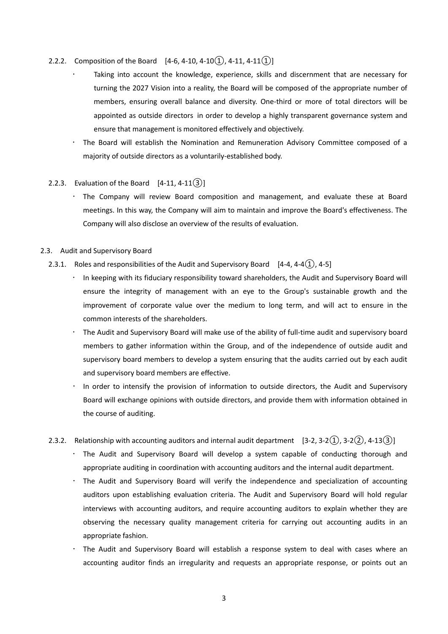- 2.2.2. Composition of the Board  $[4-6, 4-10, 4-10(1), 4-11, 4-11(1)]$ 
	- Taking into account the knowledge, experience, skills and discernment that are necessary for turning the 2027 Vision into a reality, the Board will be composed of the appropriate number of members, ensuring overall balance and diversity. One-third or more of total directors will be appointed as outside directors in order to develop a highly transparent governance system and ensure that management is monitored effectively and objectively.
	- The Board will establish the Nomination and Remuneration Advisory Committee composed of a majority of outside directors as a voluntarily-established body.

### 2.2.3. Evaluation of the Board  $[4-11, 4-11(3)]$

 The Company will review Board composition and management, and evaluate these at Board meetings. In this way, the Company will aim to maintain and improve the Board's effectiveness. The Company will also disclose an overview of the results of evaluation.

### 2.3. Audit and Supervisory Board

- 2.3.1. Roles and responsibilities of the Audit and Supervisory Board  $[4-4, 4-4(1), 4-5]$ 
	- In keeping with its fiduciary responsibility toward shareholders, the Audit and Supervisory Board will ensure the integrity of management with an eye to the Group's sustainable growth and the improvement of corporate value over the medium to long term, and will act to ensure in the common interests of the shareholders.
	- The Audit and Supervisory Board will make use of the ability of full-time audit and supervisory board members to gather information within the Group, and of the independence of outside audit and supervisory board members to develop a system ensuring that the audits carried out by each audit and supervisory board members are effective.
	- In order to intensify the provision of information to outside directors, the Audit and Supervisory Board will exchange opinions with outside directors, and provide them with information obtained in the course of auditing.
- 2.3.2. Relationship with accounting auditors and internal audit department  $[3-2, 3-2(1), 3-2(2), 4-13(3)]$ 
	- The Audit and Supervisory Board will develop a system capable of conducting thorough and appropriate auditing in coordination with accounting auditors and the internal audit department.
	- The Audit and Supervisory Board will verify the independence and specialization of accounting auditors upon establishing evaluation criteria. The Audit and Supervisory Board will hold regular interviews with accounting auditors, and require accounting auditors to explain whether they are observing the necessary quality management criteria for carrying out accounting audits in an appropriate fashion.
	- The Audit and Supervisory Board will establish a response system to deal with cases where an accounting auditor finds an irregularity and requests an appropriate response, or points out an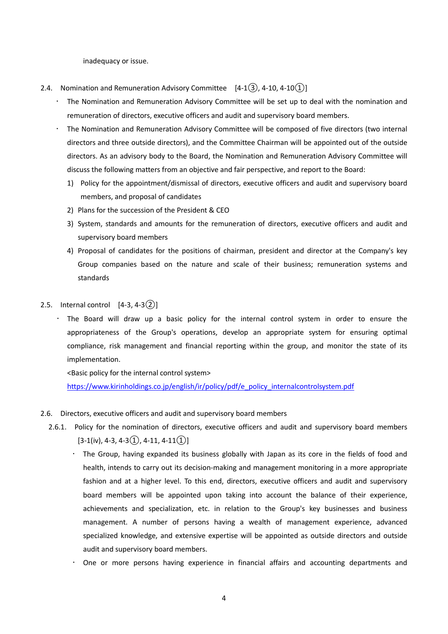inadequacy or issue.

- 2.4. Nomination and Remuneration Advisory Committee  $[4-1(3), 4-10, 4-10(1)]$ 
	- The Nomination and Remuneration Advisory Committee will be set up to deal with the nomination and remuneration of directors, executive officers and audit and supervisory board members.
	- The Nomination and Remuneration Advisory Committee will be composed of five directors (two internal directors and three outside directors), and the Committee Chairman will be appointed out of the outside directors. As an advisory body to the Board, the Nomination and Remuneration Advisory Committee will discuss the following matters from an objective and fair perspective, and report to the Board:
		- 1) Policy for the appointment/dismissal of directors, executive officers and audit and supervisory board members, and proposal of candidates
		- 2) Plans for the succession of the President & CEO
		- 3) System, standards and amounts for the remuneration of directors, executive officers and audit and supervisory board members
		- 4) Proposal of candidates for the positions of chairman, president and director at the Company's key Group companies based on the nature and scale of their business; remuneration systems and standards
- 2.5. Internal control  $[4-3, 4-3(2)]$ 
	- The Board will draw up a basic policy for the internal control system in order to ensure the appropriateness of the Group's operations, develop an appropriate system for ensuring optimal compliance, risk management and financial reporting within the group, and monitor the state of its implementation.

<Basic policy for the internal control system>

[https://www.kirinholdings.co.jp/english/ir/policy/pdf/e\\_policy\\_internalcontrolsystem.pdf](https://www.kirinholdings.co.jp/english/ir/policy/pdf/e_policy_internalcontrolsystem.pdf)

- 2.6. Directors, executive officers and audit and supervisory board members
	- 2.6.1. Policy for the nomination of directors, executive officers and audit and supervisory board members  $[3-1(iv), 4-3, 4-3(1), 4-11, 4-11(1)]$ 
		- $\cdot$  The Group, having expanded its business globally with Japan as its core in the fields of food and health, intends to carry out its decision-making and management monitoring in a more appropriate fashion and at a higher level. To this end, directors, executive officers and audit and supervisory board members will be appointed upon taking into account the balance of their experience, achievements and specialization, etc. in relation to the Group's key businesses and business management. A number of persons having a wealth of management experience, advanced specialized knowledge, and extensive expertise will be appointed as outside directors and outside audit and supervisory board members.
		- One or more persons having experience in financial affairs and accounting departments and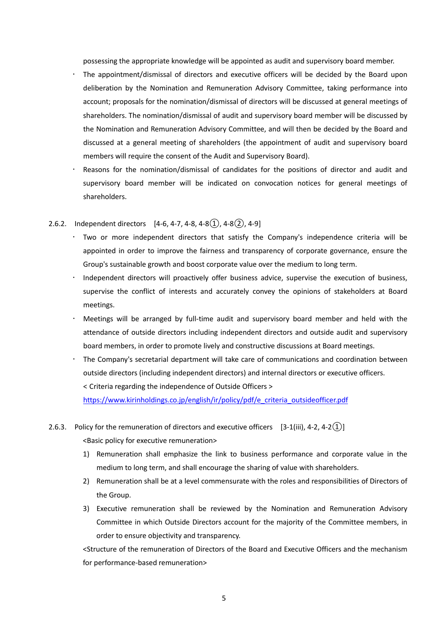possessing the appropriate knowledge will be appointed as audit and supervisory board member.

- The appointment/dismissal of directors and executive officers will be decided by the Board upon deliberation by the Nomination and Remuneration Advisory Committee, taking performance into account; proposals for the nomination/dismissal of directors will be discussed at general meetings of shareholders. The nomination/dismissal of audit and supervisory board member will be discussed by the Nomination and Remuneration Advisory Committee, and will then be decided by the Board and discussed at a general meeting of shareholders (the appointment of audit and supervisory board members will require the consent of the Audit and Supervisory Board).
- Reasons for the nomination/dismissal of candidates for the positions of director and audit and supervisory board member will be indicated on convocation notices for general meetings of shareholders.

### 2.6.2. Independent directors  $[4-6, 4-7, 4-8, 4-8(1), 4-8(2), 4-9]$

- Two or more independent directors that satisfy the Company's independence criteria will be appointed in order to improve the fairness and transparency of corporate governance, ensure the Group's sustainable growth and boost corporate value over the medium to long term.
- Independent directors will proactively offer business advice, supervise the execution of business, supervise the conflict of interests and accurately convey the opinions of stakeholders at Board meetings.
- Meetings will be arranged by full-time audit and supervisory board member and held with the attendance of outside directors including independent directors and outside audit and supervisory board members, in order to promote lively and constructive discussions at Board meetings.
- The Company's secretarial department will take care of communications and coordination between outside directors (including independent directors) and internal directors or executive officers. < Criteria regarding the independence of Outside Officers >

[https://www.kirinholdings.co.jp/english/ir/policy/pdf/e\\_criteria\\_outsideofficer.pdf](https://www.kirinholdings.co.jp/english/ir/policy/pdf/e_criteria_outsideofficer.pdf)

- 2.6.3. Policy for the remuneration of directors and executive officers  $[3-1(iii), 4-2, 4-2(1)]$ <Basic policy for executive remuneration>
	- 1) Remuneration shall emphasize the link to business performance and corporate value in the medium to long term, and shall encourage the sharing of value with shareholders.
	- 2) Remuneration shall be at a level commensurate with the roles and responsibilities of Directors of the Group.
	- 3) Executive remuneration shall be reviewed by the Nomination and Remuneration Advisory Committee in which Outside Directors account for the majority of the Committee members, in order to ensure objectivity and transparency.

<Structure of the remuneration of Directors of the Board and Executive Officers and the mechanism for performance-based remuneration>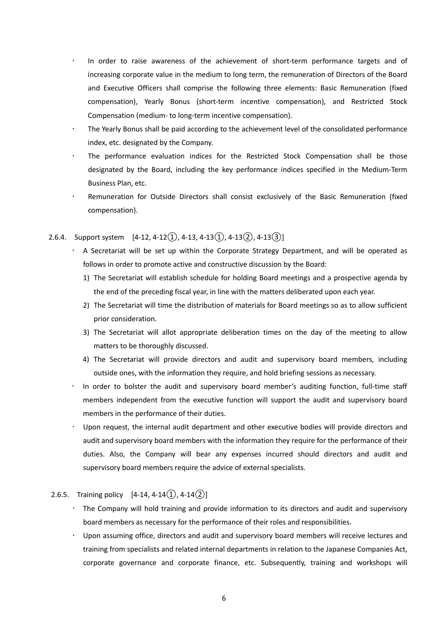- In order to raise awareness of the achievement of short-term performance targets and of increasing corporate value in the medium to long term, the remuneration of Directors of the Board and Executive Officers shall comprise the following three elements: Basic Remuneration (fixed compensation), Yearly Bonus (short-term incentive compensation), and Restricted Stock Compensation (medium- to long-term incentive compensation).
- The Yearly Bonus shall be paid according to the achievement level of the consolidated performance index, etc. designated by the Company.
- The performance evaluation indices for the Restricted Stock Compensation shall be those designated by the Board, including the key performance indices specified in the Medium-Term Business Plan, etc.
- Remuneration for Outside Directors shall consist exclusively of the Basic Remuneration (fixed compensation).

### 2.6.4. Support system  $[4-12, 4-12(1), 4-13, 4-13(1), 4-13(2), 4-13(3)]$

- A Secretariat will be set up within the Corporate Strategy Department, and will be operated as follows in order to promote active and constructive discussion by the Board:
	- 1) The Secretariat will establish schedule for holding Board meetings and a prospective agenda by the end of the preceding fiscal year, in line with the matters deliberated upon each year.
	- 2) The Secretariat will time the distribution of materials for Board meetings so as to allow sufficient prior consideration.
	- 3) The Secretariat will allot appropriate deliberation times on the day of the meeting to allow matters to be thoroughly discussed.
	- 4) The Secretariat will provide directors and audit and supervisory board members, including outside ones, with the information they require, and hold briefing sessions as necessary.
- In order to bolster the audit and supervisory board member's auditing function, full-time staff members independent from the executive function will support the audit and supervisory board members in the performance of their duties.
- Upon request, the internal audit department and other executive bodies will provide directors and audit and supervisory board members with the information they require for the performance of their duties. Also, the Company will bear any expenses incurred should directors and audit and supervisory board members require the advice of external specialists.

### 2.6.5. Training policy  $[4-14, 4-14(\hat{1}), 4-14(\hat{2})]$

- The Company will hold training and provide information to its directors and audit and supervisory board members as necessary for the performance of their roles and responsibilities.
- Upon assuming office, directors and audit and supervisory board members will receive lectures and training from specialists and related internal departments in relation to the Japanese Companies Act, corporate governance and corporate finance, etc. Subsequently, training and workshops will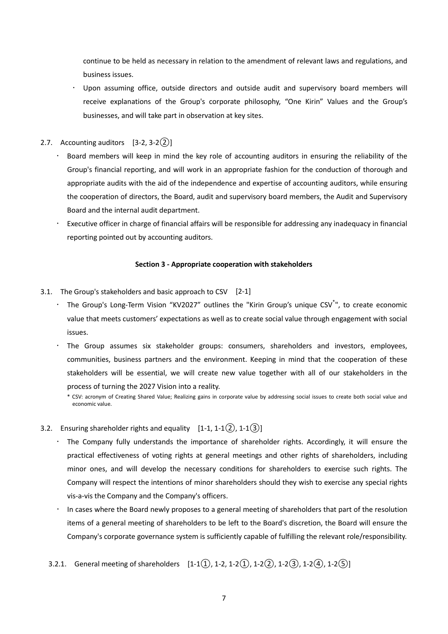continue to be held as necessary in relation to the amendment of relevant laws and regulations, and business issues.

- Upon assuming office, outside directors and outside audit and supervisory board members will receive explanations of the Group's corporate philosophy, "One Kirin" Values and the Group's businesses, and will take part in observation at key sites.
- 2.7. Accounting auditors  $[3-2, 3-2(2)]$ 
	- Board members will keep in mind the key role of accounting auditors in ensuring the reliability of the Group's financial reporting, and will work in an appropriate fashion for the conduction of thorough and appropriate audits with the aid of the independence and expertise of accounting auditors, while ensuring the cooperation of directors, the Board, audit and supervisory board members, the Audit and Supervisory Board and the internal audit department.
	- $\cdot$  Executive officer in charge of financial affairs will be responsible for addressing any inadequacy in financial reporting pointed out by accounting auditors.

### **Section 3 - Appropriate cooperation with stakeholders**

- 3.1. The Group's stakeholders and basic approach to CSV [2-1]
	- . The Group's Long-Term Vision "KV2027" outlines the "Kirin Group's unique CSV<sup>\*</sup>", to create economic value that meets customers' expectations as well as to create social value through engagement with social issues.
	- The Group assumes six stakeholder groups: consumers, shareholders and investors, employees, communities, business partners and the environment. Keeping in mind that the cooperation of these stakeholders will be essential, we will create new value together with all of our stakeholders in the process of turning the 2027 Vision into a reality.

- 3.2. Ensuring shareholder rights and equality  $[1-1, 1-1(2), 1-1(3)]$ 
	- The Company fully understands the importance of shareholder rights. Accordingly, it will ensure the practical effectiveness of voting rights at general meetings and other rights of shareholders, including minor ones, and will develop the necessary conditions for shareholders to exercise such rights. The Company will respect the intentions of minor shareholders should they wish to exercise any special rights vis-a-vis the Company and the Company's officers.
	- In cases where the Board newly proposes to a general meeting of shareholders that part of the resolution items of a general meeting of shareholders to be left to the Board's discretion, the Board will ensure the Company's corporate governance system is sufficiently capable of fulfilling the relevant role/responsibility.
	- 3.2.1. General meeting of shareholders  $[1-1(1), 1-2, 1-2(1), 1-2(2), 1-2(3), 1-2(4), 1-2(5)]$

<sup>\*</sup> CSV: acronym of Creating Shared Value; Realizing gains in corporate value by addressing social issues to create both social value and economic value.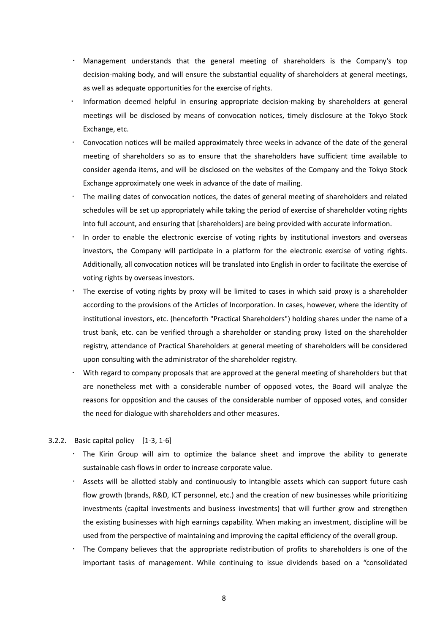- Management understands that the general meeting of shareholders is the Company's top decision-making body, and will ensure the substantial equality of shareholders at general meetings, as well as adequate opportunities for the exercise of rights.
- Information deemed helpful in ensuring appropriate decision-making by shareholders at general meetings will be disclosed by means of convocation notices, timely disclosure at the Tokyo Stock Exchange, etc.
- Convocation notices will be mailed approximately three weeks in advance of the date of the general meeting of shareholders so as to ensure that the shareholders have sufficient time available to consider agenda items, and will be disclosed on the websites of the Company and the Tokyo Stock Exchange approximately one week in advance of the date of mailing.
- The mailing dates of convocation notices, the dates of general meeting of shareholders and related schedules will be set up appropriately while taking the period of exercise of shareholder voting rights into full account, and ensuring that [shareholders] are being provided with accurate information.
- In order to enable the electronic exercise of voting rights by institutional investors and overseas investors, the Company will participate in a platform for the electronic exercise of voting rights. Additionally, all convocation notices will be translated into English in order to facilitate the exercise of voting rights by overseas investors.
- The exercise of voting rights by proxy will be limited to cases in which said proxy is a shareholder according to the provisions of the Articles of Incorporation. In cases, however, where the identity of institutional investors, etc. (henceforth "Practical Shareholders") holding shares under the name of a trust bank, etc. can be verified through a shareholder or standing proxy listed on the shareholder registry, attendance of Practical Shareholders at general meeting of shareholders will be considered upon consulting with the administrator of the shareholder registry.
- With regard to company proposals that are approved at the general meeting of shareholders but that are nonetheless met with a considerable number of opposed votes, the Board will analyze the reasons for opposition and the causes of the considerable number of opposed votes, and consider the need for dialogue with shareholders and other measures.

### 3.2.2. Basic capital policy [1-3, 1-6]

- The Kirin Group will aim to optimize the balance sheet and improve the ability to generate sustainable cash flows in order to increase corporate value.
- Assets will be allotted stably and continuously to intangible assets which can support future cash flow growth (brands, R&D, ICT personnel, etc.) and the creation of new businesses while prioritizing investments (capital investments and business investments) that will further grow and strengthen the existing businesses with high earnings capability. When making an investment, discipline will be used from the perspective of maintaining and improving the capital efficiency of the overall group.
- The Company believes that the appropriate redistribution of profits to shareholders is one of the important tasks of management. While continuing to issue dividends based on a "consolidated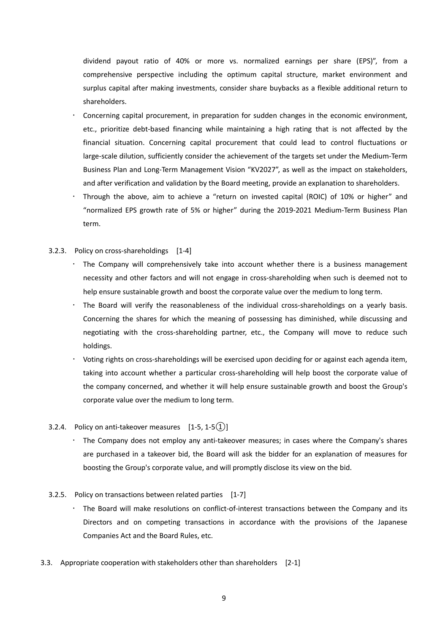dividend payout ratio of 40% or more vs. normalized earnings per share (EPS)", from a comprehensive perspective including the optimum capital structure, market environment and surplus capital after making investments, consider share buybacks as a flexible additional return to shareholders.

- Concerning capital procurement, in preparation for sudden changes in the economic environment, etc., prioritize debt-based financing while maintaining a high rating that is not affected by the financial situation. Concerning capital procurement that could lead to control fluctuations or large-scale dilution, sufficiently consider the achievement of the targets set under the Medium-Term Business Plan and Long-Term Management Vision "KV2027", as well as the impact on stakeholders, and after verification and validation by the Board meeting, provide an explanation to shareholders.
- Through the above, aim to achieve a "return on invested capital (ROIC) of 10% or higher" and "normalized EPS growth rate of 5% or higher" during the 2019-2021 Medium-Term Business Plan term.
- 3.2.3. Policy on cross-shareholdings [1-4]
	- The Company will comprehensively take into account whether there is a business management necessity and other factors and will not engage in cross-shareholding when such is deemed not to help ensure sustainable growth and boost the corporate value over the medium to long term.
	- The Board will verify the reasonableness of the individual cross-shareholdings on a yearly basis. Concerning the shares for which the meaning of possessing has diminished, while discussing and negotiating with the cross-shareholding partner, etc., the Company will move to reduce such holdings.
	- Voting rights on cross-shareholdings will be exercised upon deciding for or against each agenda item, taking into account whether a particular cross-shareholding will help boost the corporate value of the company concerned, and whether it will help ensure sustainable growth and boost the Group's corporate value over the medium to long term.
- 3.2.4. Policy on anti-takeover measures  $[1-5, 1-5(1)]$ 
	- The Company does not employ any anti-takeover measures; in cases where the Company's shares are purchased in a takeover bid, the Board will ask the bidder for an explanation of measures for boosting the Group's corporate value, and will promptly disclose its view on the bid.
- 3.2.5. Policy on transactions between related parties [1-7]
	- The Board will make resolutions on conflict-of-interest transactions between the Company and its Directors and on competing transactions in accordance with the provisions of the Japanese Companies Act and the Board Rules, etc.
- 3.3. Appropriate cooperation with stakeholders other than shareholders [2-1]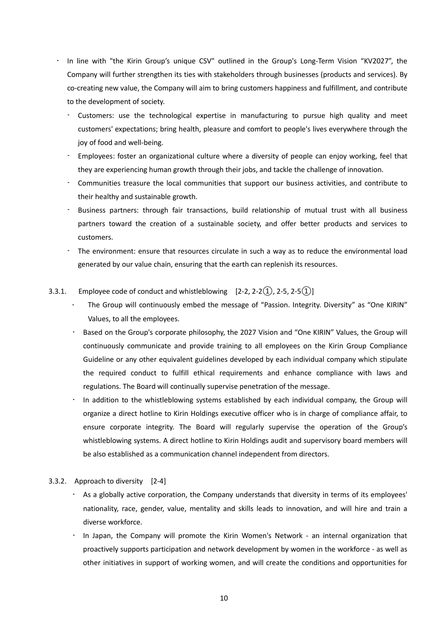- In line with "the Kirin Group's unique CSV" outlined in the Group's Long-Term Vision "KV2027", the Company will further strengthen its ties with stakeholders through businesses (products and services). By co-creating new value, the Company will aim to bring customers happiness and fulfillment, and contribute to the development of society.
	- Customers: use the technological expertise in manufacturing to pursue high quality and meet customers' expectations; bring health, pleasure and comfort to people's lives everywhere through the joy of food and well-being.
	- Employees: foster an organizational culture where a diversity of people can enjoy working, feel that they are experiencing human growth through their jobs, and tackle the challenge of innovation.
	- Communities treasure the local communities that support our business activities, and contribute to their healthy and sustainable growth.
	- Business partners: through fair transactions, build relationship of mutual trust with all business partners toward the creation of a sustainable society, and offer better products and services to customers.
	- The environment: ensure that resources circulate in such a way as to reduce the environmental load generated by our value chain, ensuring that the earth can replenish its resources.
- 3.3.1. Employee code of conduct and whistleblowing  $[2-2, 2-2(1), 2-5, 2-5(1)]$ 
	- The Group will continuously embed the message of "Passion. Integrity. Diversity" as "One KIRIN" Values, to all the employees.
	- Based on the Group's corporate philosophy, the 2027 Vision and "One KIRIN" Values, the Group will continuously communicate and provide training to all employees on the Kirin Group Compliance Guideline or any other equivalent guidelines developed by each individual company which stipulate the required conduct to fulfill ethical requirements and enhance compliance with laws and regulations. The Board will continually supervise penetration of the message.
	- In addition to the whistleblowing systems established by each individual company, the Group will organize a direct hotline to Kirin Holdings executive officer who is in charge of compliance affair, to ensure corporate integrity. The Board will regularly supervise the operation of the Group's whistleblowing systems. A direct hotline to Kirin Holdings audit and supervisory board members will be also established as a communication channel independent from directors.
- 3.3.2. Approach to diversity [2-4]
	- As a globally active corporation, the Company understands that diversity in terms of its employees' nationality, race, gender, value, mentality and skills leads to innovation, and will hire and train a diverse workforce.
	- In Japan, the Company will promote the Kirin Women's Network an internal organization that proactively supports participation and network development by women in the workforce - as well as other initiatives in support of working women, and will create the conditions and opportunities for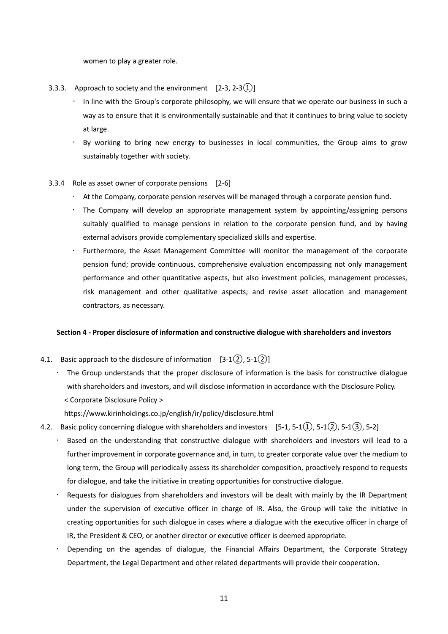women to play a greater role.

- 3.3.3. Approach to society and the environment  $[2-3, 2-3(1)]$ 
	- In line with the Group's corporate philosophy, we will ensure that we operate our business in such a way as to ensure that it is environmentally sustainable and that it continues to bring value to society at large.
	- By working to bring new energy to businesses in local communities, the Group aims to grow sustainably together with society.
- 3.3.4 Role as asset owner of corporate pensions [2-6]
	- $\cdot$  At the Company, corporate pension reserves will be managed through a corporate pension fund.
	- The Company will develop an appropriate management system by appointing/assigning persons suitably qualified to manage pensions in relation to the corporate pension fund, and by having external advisors provide complementary specialized skills and expertise.
	- Furthermore, the Asset Management Committee will monitor the management of the corporate pension fund; provide continuous, comprehensive evaluation encompassing not only management performance and other quantitative aspects, but also investment policies, management processes, risk management and other qualitative aspects; and revise asset allocation and management contractors, as necessary.

#### **Section 4 - Proper disclosure of information and constructive dialogue with shareholders and investors**

- 4.1. Basic approach to the disclosure of information  $[3-1(2), 5-1(2)]$ 
	- The Group understands that the proper disclosure of information is the basis for constructive dialogue with shareholders and investors, and will disclose information in accordance with the Disclosure Policy. < Corporate Disclosure Policy >

https://www.kirinholdings.co.jp/english/ir/policy/disclosure.html

- 4.2. Basic policy concerning dialogue with shareholders and investors  $[5-1, 5-1(1), 5-1(2), 5-1(3), 5-2]$ 
	- Based on the understanding that constructive dialogue with shareholders and investors will lead to a further improvement in corporate governance and, in turn, to greater corporate value over the medium to long term, the Group will periodically assess its shareholder composition, proactively respond to requests for dialogue, and take the initiative in creating opportunities for constructive dialogue.
	- Requests for dialogues from shareholders and investors will be dealt with mainly by the IR Department under the supervision of executive officer in charge of IR. Also, the Group will take the initiative in creating opportunities for such dialogue in cases where a dialogue with the executive officer in charge of IR, the President & CEO, or another director or executive officer is deemed appropriate.
	- Depending on the agendas of dialogue, the Financial Affairs Department, the Corporate Strategy Department, the Legal Department and other related departments will provide their cooperation.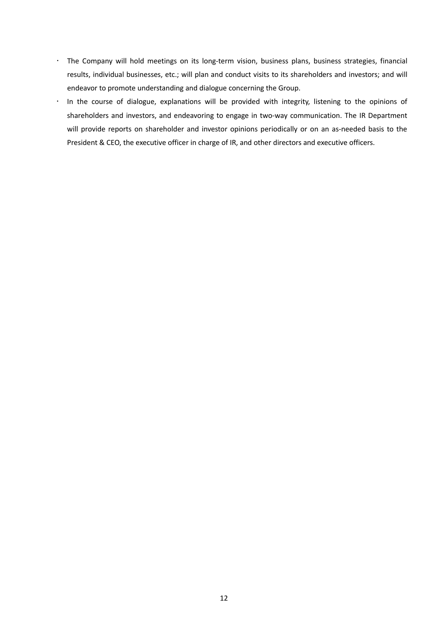- The Company will hold meetings on its long-term vision, business plans, business strategies, financial results, individual businesses, etc.; will plan and conduct visits to its shareholders and investors; and will endeavor to promote understanding and dialogue concerning the Group.
- In the course of dialogue, explanations will be provided with integrity, listening to the opinions of shareholders and investors, and endeavoring to engage in two-way communication. The IR Department will provide reports on shareholder and investor opinions periodically or on an as-needed basis to the President & CEO, the executive officer in charge of IR, and other directors and executive officers.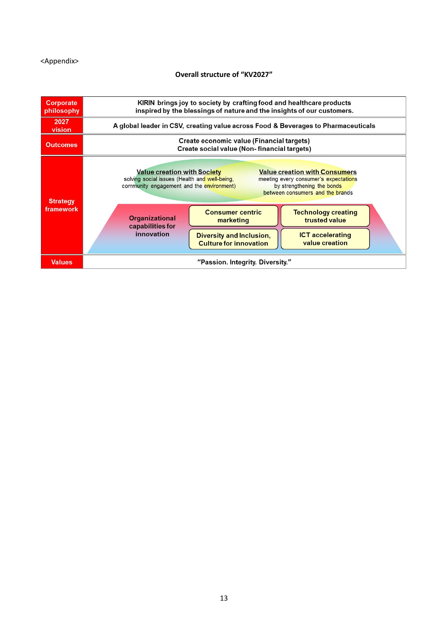#### <Appendix>

### **Overall structure of "KV2027"**

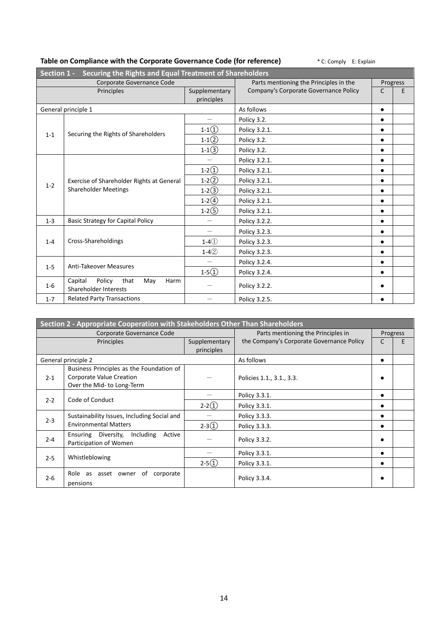| Securing the Rights and Equal Treatment of Shareholders<br>Section 1 - |                                                                          |            |                                        |           |          |  |
|------------------------------------------------------------------------|--------------------------------------------------------------------------|------------|----------------------------------------|-----------|----------|--|
| Corporate Governance Code                                              |                                                                          |            | Parts mentioning the Principles in the |           | Progress |  |
|                                                                        | Principles                                                               |            | Company's Corporate Governance Policy  | C         | Е        |  |
|                                                                        |                                                                          | principles |                                        |           |          |  |
|                                                                        | General principle 1                                                      |            | As follows                             | $\bullet$ |          |  |
|                                                                        |                                                                          |            | Policy 3.2.                            | $\bullet$ |          |  |
| $1 - 1$                                                                | Securing the Rights of Shareholders                                      | $1-1(1)$   | Policy 3.2.1.                          | $\bullet$ |          |  |
|                                                                        |                                                                          | $1-1(2)$   | Policy 3.2.                            | $\bullet$ |          |  |
|                                                                        |                                                                          | $1-1(3)$   | Policy 3.2.                            | $\bullet$ |          |  |
|                                                                        |                                                                          |            | Policy 3.2.1.                          | $\bullet$ |          |  |
|                                                                        | Exercise of Shareholder Rights at General<br><b>Shareholder Meetings</b> | $1-2(1)$   | Policy 3.2.1.                          | $\bullet$ |          |  |
|                                                                        |                                                                          | $1-2(2)$   | Policy 3.2.1.                          | $\bullet$ |          |  |
| $1 - 2$                                                                |                                                                          | $1-2(3)$   | Policy 3.2.1.                          | $\bullet$ |          |  |
|                                                                        |                                                                          | $1-2(4)$   | Policy 3.2.1.                          | $\bullet$ |          |  |
|                                                                        |                                                                          | $1-2(5)$   | Policy 3.2.1.                          | $\bullet$ |          |  |
| $1 - 3$                                                                | <b>Basic Strategy for Capital Policy</b>                                 |            | Policy 3.2.2.                          | $\bullet$ |          |  |
|                                                                        | Cross-Shareholdings                                                      |            | Policy 3.2.3.                          | $\bullet$ |          |  |
| $1 - 4$                                                                |                                                                          | $1-41$     | Policy 3.2.3.                          | $\bullet$ |          |  |
|                                                                        |                                                                          | $1 - 42$   | Policy 3.2.3.                          | $\bullet$ |          |  |
|                                                                        | <b>Anti-Takeover Measures</b>                                            |            | Policy 3.2.4.                          | $\bullet$ |          |  |
| $1 - 5$                                                                |                                                                          | $1-5()$    | Policy 3.2.4.                          | $\bullet$ |          |  |
| $1-6$                                                                  | Capital<br>Policy<br>that<br>Harm<br>May<br>Shareholder Interests        |            | Policy 3.2.2.                          | ٠         |          |  |
| $1 - 7$                                                                | <b>Related Party Transactions</b>                                        |            | Policy 3.2.5.                          |           |          |  |

## **Table on Compliance with the Corporate Governance Code (for reference)** \* C: Comply E: Explain

| Section 2 - Appropriate Cooperation with Stakeholders Other Than Shareholders |                                             |               |                                           |           |          |  |  |
|-------------------------------------------------------------------------------|---------------------------------------------|---------------|-------------------------------------------|-----------|----------|--|--|
| Corporate Governance Code                                                     |                                             |               | Parts mentioning the Principles in        |           | Progress |  |  |
| Principles                                                                    |                                             | Supplementary | the Company's Corporate Governance Policy | C         | E        |  |  |
|                                                                               |                                             | principles    |                                           |           |          |  |  |
|                                                                               | General principle 2                         |               | As follows                                | $\bullet$ |          |  |  |
|                                                                               | Business Principles as the Foundation of    |               |                                           |           |          |  |  |
| $2 - 1$                                                                       | Corporate Value Creation                    |               | Policies 1.1., 3.1., 3.3.                 |           |          |  |  |
|                                                                               | Over the Mid- to Long-Term                  |               |                                           |           |          |  |  |
|                                                                               |                                             |               | Policy 3.3.1.                             | $\bullet$ |          |  |  |
| $2 - 2$                                                                       | Code of Conduct                             | $2-2(1)$      | Policy 3.3.1.                             |           |          |  |  |
|                                                                               | Sustainability Issues, Including Social and |               | Policy 3.3.3.                             |           |          |  |  |
| $2 - 3$                                                                       | <b>Environmental Matters</b>                | $2-3(1)$      | Policy 3.3.3.                             |           |          |  |  |
| $2 - 4$                                                                       | Ensuring Diversity, Including<br>Active     |               | Policy 3.3.2.                             |           |          |  |  |
|                                                                               | Participation of Women                      |               |                                           |           |          |  |  |
| $2 - 5$                                                                       | Whistleblowing                              |               | Policy 3.3.1.                             |           |          |  |  |
|                                                                               |                                             | $2-5(1)$      | Policy 3.3.1.                             | ٠         |          |  |  |
| $2 - 6$                                                                       | Role as asset owner of<br>corporate         |               |                                           |           |          |  |  |
|                                                                               | pensions                                    |               | Policy 3.3.4.                             |           |          |  |  |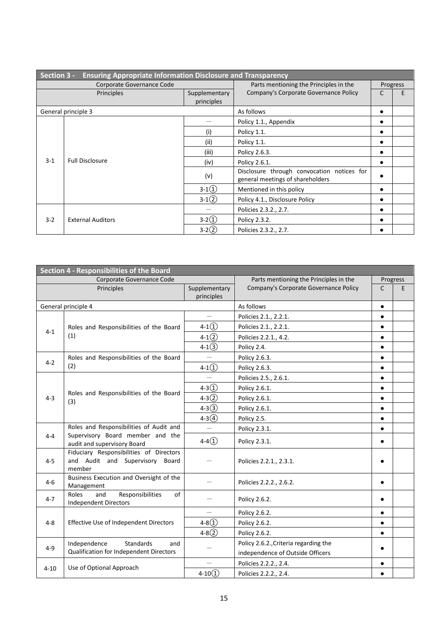| Section 3 -<br><b>Ensuring Appropriate Information Disclosure and Transparency</b> |                          |                        |                                                                                |                       |          |  |
|------------------------------------------------------------------------------------|--------------------------|------------------------|--------------------------------------------------------------------------------|-----------------------|----------|--|
| Corporate Governance Code                                                          |                          |                        | Parts mentioning the Principles in the                                         |                       | Progress |  |
|                                                                                    | Principles               | Supplementary          | Company's Corporate Governance Policy                                          | C                     | F        |  |
|                                                                                    |                          | principles             |                                                                                |                       |          |  |
| General principle 3                                                                |                          | As follows             | ٠                                                                              |                       |          |  |
|                                                                                    |                          |                        | Policy 1.1., Appendix                                                          |                       |          |  |
|                                                                                    |                          | (i)                    | Policy 1.1.                                                                    | ٠                     |          |  |
|                                                                                    |                          | (ii)                   | Policy 1.1.                                                                    |                       |          |  |
| $3-1$                                                                              |                          | (iii)                  | Policy 2.6.3.                                                                  |                       |          |  |
|                                                                                    |                          | <b>Full Disclosure</b> | (iv)                                                                           | Policy 2.6.1.         | ٠        |  |
|                                                                                    |                          | (v)                    | Disclosure through convocation notices for<br>general meetings of shareholders | $\bullet$             |          |  |
|                                                                                    |                          | $3-1(1)$               | Mentioned in this policy                                                       | $\bullet$             |          |  |
|                                                                                    |                          | $3-1(2)$               | Policy 4.1., Disclosure Policy                                                 |                       |          |  |
| $3 - 2$                                                                            |                          |                        |                                                                                | Policies 2.3.2., 2.7. |          |  |
|                                                                                    | <b>External Auditors</b> | $3-2(1)$               | Policy 2.3.2.                                                                  | ٠                     |          |  |
|                                                                                    |                          | $3-2(2)$               | Policies 2.3.2., 2.7.                                                          |                       |          |  |

| <b>Section 4 - Responsibilities of the Board</b> |                                                                                      |                             |                                        |           |          |  |
|--------------------------------------------------|--------------------------------------------------------------------------------------|-----------------------------|----------------------------------------|-----------|----------|--|
| Corporate Governance Code                        |                                                                                      |                             | Parts mentioning the Principles in the |           | Progress |  |
|                                                  | Principles                                                                           | Supplementary<br>principles | Company's Corporate Governance Policy  | C         | E        |  |
|                                                  | General principle 4                                                                  |                             | As follows                             | $\bullet$ |          |  |
|                                                  |                                                                                      | $\overline{\phantom{0}}$    | Policies 2.1., 2.2.1.                  | $\bullet$ |          |  |
| $4 - 1$                                          | Roles and Responsibilities of the Board                                              | $4-1(1)$                    | Policies 2.1., 2.2.1.                  | $\bullet$ |          |  |
|                                                  | (1)                                                                                  | $4-1(2)$                    | Policies 2.2.1., 4.2.                  | $\bullet$ |          |  |
|                                                  |                                                                                      | $4-1(3)$                    | Policy 2.4.                            | $\bullet$ |          |  |
| $4 - 2$                                          | Roles and Responsibilities of the Board                                              |                             | Policy 2.6.3.                          | $\bullet$ |          |  |
|                                                  | (2)                                                                                  | $4-1(1)$                    | Policy 2.6.3.                          | $\bullet$ |          |  |
|                                                  |                                                                                      |                             | Policies 2.5., 2.6.1.                  | $\bullet$ |          |  |
|                                                  |                                                                                      | $4 - 3(1)$                  | Policy 2.6.1.                          | $\bullet$ |          |  |
| $4 - 3$                                          | Roles and Responsibilities of the Board<br>(3)                                       | $4 - 3(2)$                  | Policy 2.6.1.                          | $\bullet$ |          |  |
|                                                  |                                                                                      | $4 - 3(3)$                  | Policy 2.6.1.                          | $\bullet$ |          |  |
|                                                  |                                                                                      | $4 - 3(4)$                  | Policy 2.5.                            | $\bullet$ |          |  |
|                                                  | Roles and Responsibilities of Audit and                                              |                             | Policy 2.3.1.                          | $\bullet$ |          |  |
| $4 - 4$                                          | Supervisory Board member and the<br>audit and supervisory Board                      | $4-4()$                     | Policy 2.3.1.                          | $\bullet$ |          |  |
| $4 - 5$                                          | Fiduciary Responsibilities of Directors<br>and Audit and Supervisory Board<br>member |                             | Policies 2.2.1., 2.3.1.                |           |          |  |
| $4-6$                                            | Business Execution and Oversight of the<br>Management                                |                             | Policies 2.2.2., 2.6.2.                | $\bullet$ |          |  |
| $4 - 7$                                          | Responsibilities<br>and<br>of<br>Roles<br><b>Independent Directors</b>               |                             | Policy 2.6.2.                          | $\bullet$ |          |  |
| $4 - 8$                                          |                                                                                      |                             | Policy 2.6.2.                          | $\bullet$ |          |  |
|                                                  | Effective Use of Independent Directors                                               | $4 - 8(1)$                  | Policy 2.6.2.                          | $\bullet$ |          |  |
|                                                  |                                                                                      | $4 - 8(2)$                  | Policy 2.6.2.                          | $\bullet$ |          |  |
| $4 - 9$                                          | Independence<br>Standards<br>and                                                     |                             | Policy 2.6.2., Criteria regarding the  |           |          |  |
|                                                  | Qualification for Independent Directors                                              |                             | independence of Outside Officers       | $\bullet$ |          |  |
|                                                  | Use of Optional Approach                                                             |                             | Policies 2.2.2., 2.4.                  | $\bullet$ |          |  |
| $4 - 10$                                         |                                                                                      | $4 - 10(1)$                 | Policies 2.2.2., 2.4.                  | $\bullet$ |          |  |